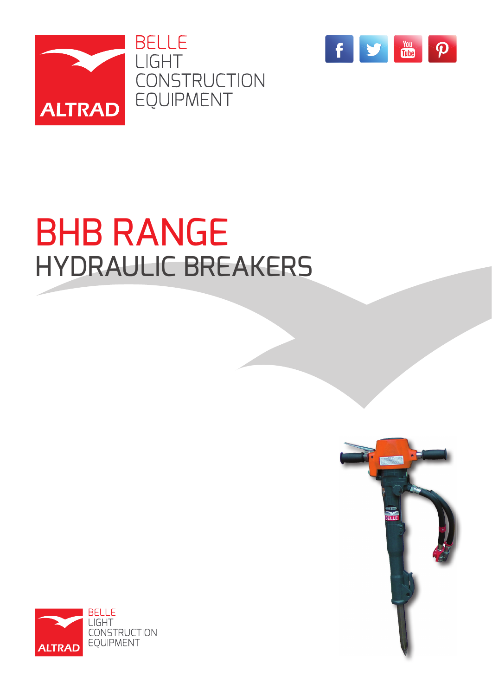



# BHB RANGE HYDRAULIC BREAKERS